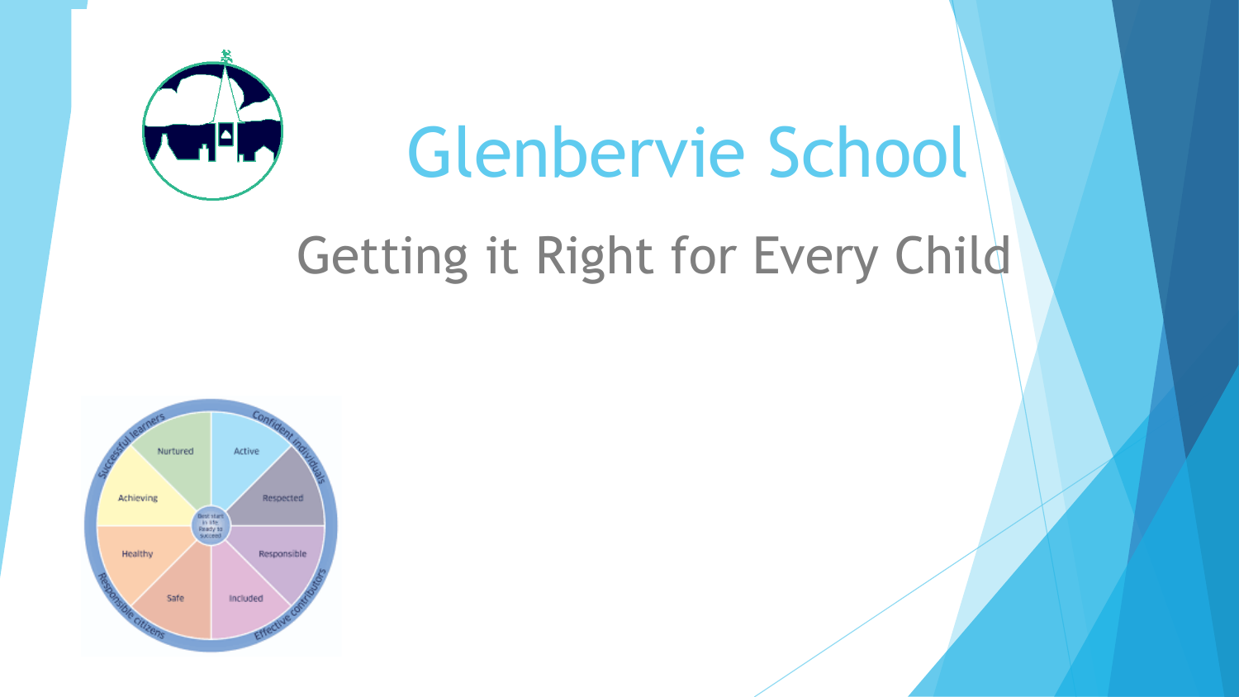

# Getting it Right for Every Child

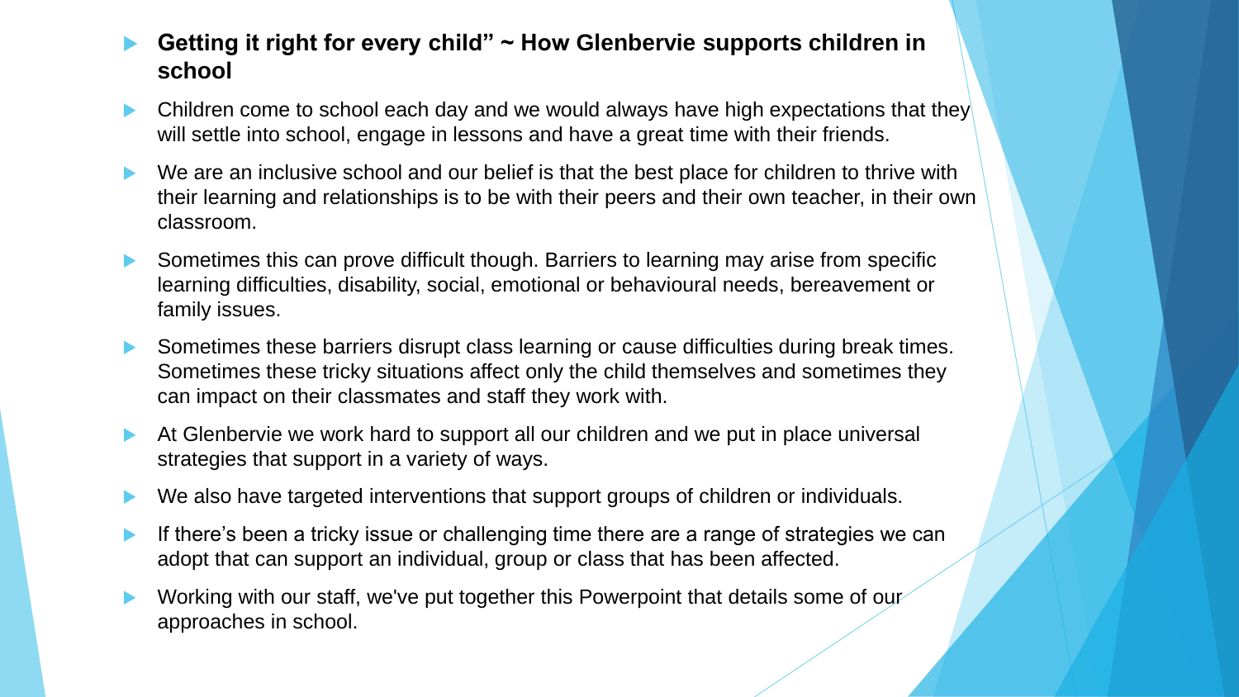- **Getting it right for every child" ~ How Glenbervie supports children in school**
- Children come to school each day and we would always have high expectations that they will settle into school, engage in lessons and have a great time with their friends.
- We are an inclusive school and our belief is that the best place for children to thrive with their learning and relationships is to be with their peers and their own teacher, in their own classroom.
- Sometimes this can prove difficult though. Barriers to learning may arise from specific learning difficulties, disability, social, emotional or behavioural needs, bereavement or family issues.
- Sometimes these barriers disrupt class learning or cause difficulties during break times. Sometimes these tricky situations affect only the child themselves and sometimes they can impact on their classmates and staff they work with.
- At Glenbervie we work hard to support all our children and we put in place universal strategies that support in a variety of ways.
- We also have targeted interventions that support groups of children or individuals.
- If there's been a tricky issue or challenging time there are a range of strategies we can adopt that can support an individual, group or class that has been affected.
- Working with our staff, we've put together this Powerpoint that details some of our approaches in school.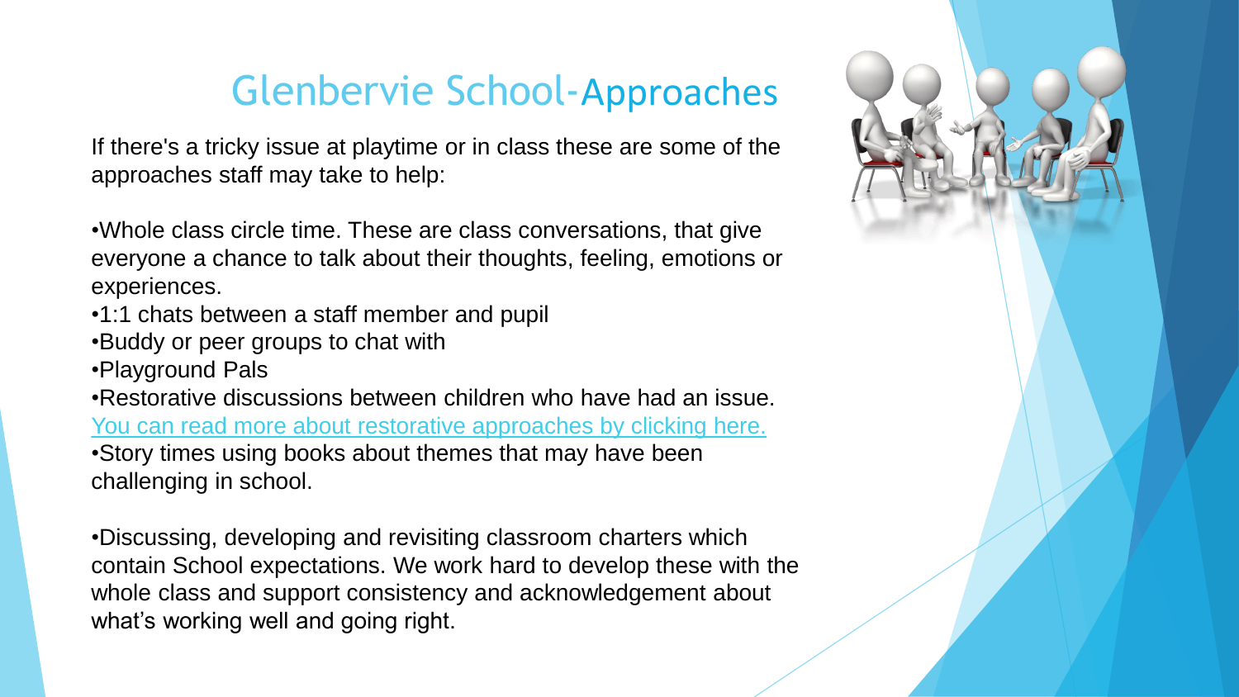#### Glenbervie School-Approaches

 $\mathsf{ep}(\mathsf{e}_t)$ If there's a tricky issue at playtime or in class these are some of the approaches staff may take to help:

•Whole class circle time. These are class conversations, that give *by* everyone a chance to talk about their thoughts feeling emotions of everyone a chance to talk about their thoughts, feeling, emotions or experiences.

- •1:1 chats between a staff member and pupil
- •Buddy or peer groups to chat with
- •Playground Pals

•Restorative discussions between children who have had an issue. [You can read more about restorative approaches by clicking here.](https://education.gov.scot/parentzone/additional-support/specific-support-needs/social-and-emotional-factors/restorative-approaches/) •Story times using books about themes that may have been challenging in school.

•Discussing, developing and revisiting classroom charters which contain School expectations. We work hard to develop these with the whole class and support consistency and acknowledgement about what's working well and going right.

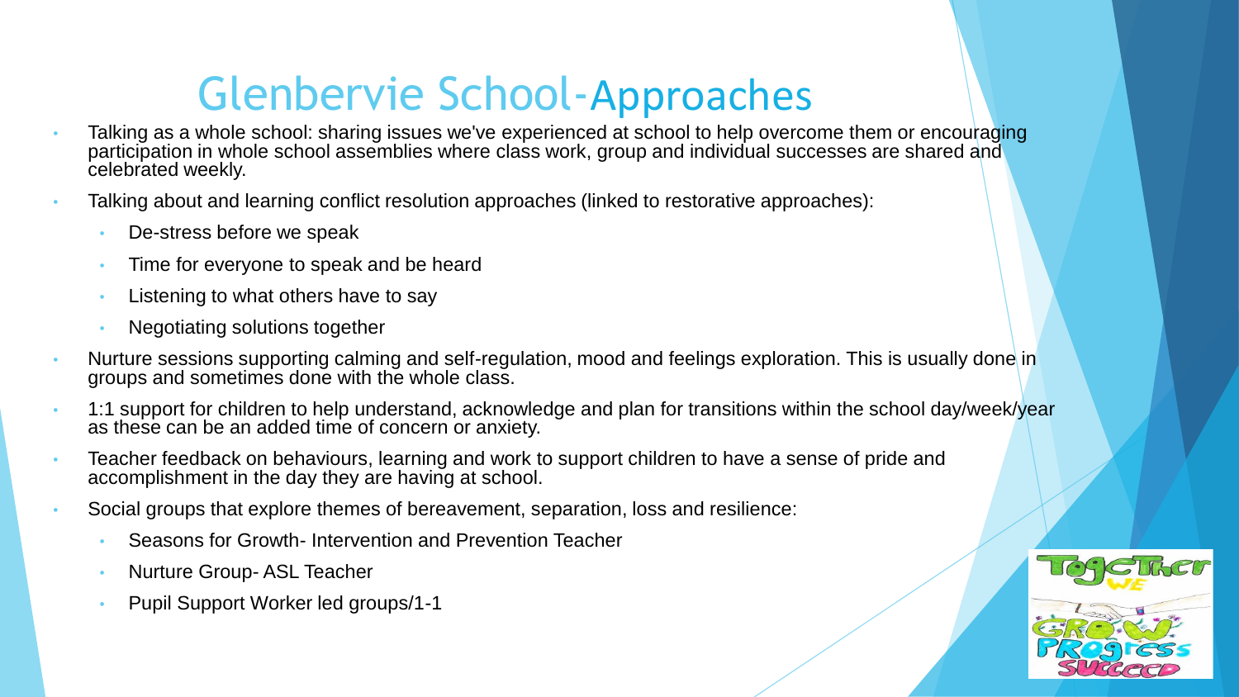## Glenbervie School-Approaches

- Talking as a whole school: sharing issues we've experienced at school to help overcome them or encouraging participation in whole school assemblies where class work, group and individual successes are shared and celebrated weekly.
- Talking about and learning conflict resolution approaches (linked to restorative approaches):
	- De-stress before we speak
	- Time for everyone to speak and be heard
	- Listening to what others have to say
	- Negotiating solutions together
- Nurture sessions supporting calming and self-regulation, mood and feelings exploration. This is usually done in groups and sometimes done with the whole class.
- 1:1 support for children to help understand, acknowledge and plan for transitions within the school day/week/year as these can be an added time of concern or anxiety.
- Teacher feedback on behaviours, learning and work to support children to have a sense of pride and accomplishment in the day they are having at school.
- Social groups that explore themes of bereavement, separation, loss and resilience:
	- Seasons for Growth- Intervention and Prevention Teacher
	- Nurture Group- ASL Teacher
	- Pupil Support Worker led groups/1-1

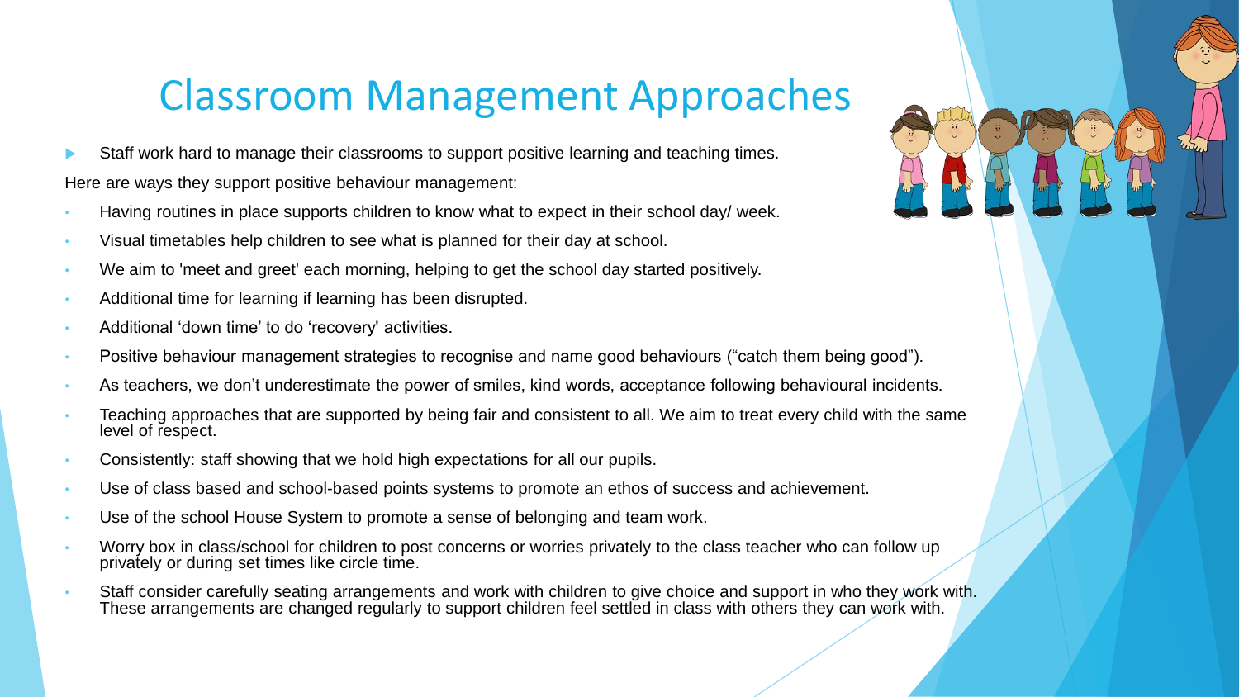#### Classroom Management Approaches

- Staff work hard to manage their classrooms to support positive learning and teaching times. Here are ways they support positive behaviour management:
- Having routines in place supports children to know what to expect in their school day/ week.
- Visual timetables help children to see what is planned for their day at school.
- We aim to 'meet and greet' each morning, helping to get the school day started positively.
- Additional time for learning if learning has been disrupted.
- Additional 'down time' to do 'recovery' activities.
- Positive behaviour management strategies to recognise and name good behaviours ("catch them being good").
- As teachers, we don't underestimate the power of smiles, kind words, acceptance following behavioural incidents.
- Teaching approaches that are supported by being fair and consistent to all. We aim to treat every child with the same level of respect.
- Consistently: staff showing that we hold high expectations for all our pupils.
- Use of class based and school-based points systems to promote an ethos of success and achievement.
- Use of the school House System to promote a sense of belonging and team work.
- Worry box in class/school for children to post concerns or worries privately to the class teacher who can follow up privately or during set times like circle time.
- Staff consider carefully seating arrangements and work with children to give choice and support in who they work with. These arrangements are changed regularly to support children feel settled in class with others they can work with.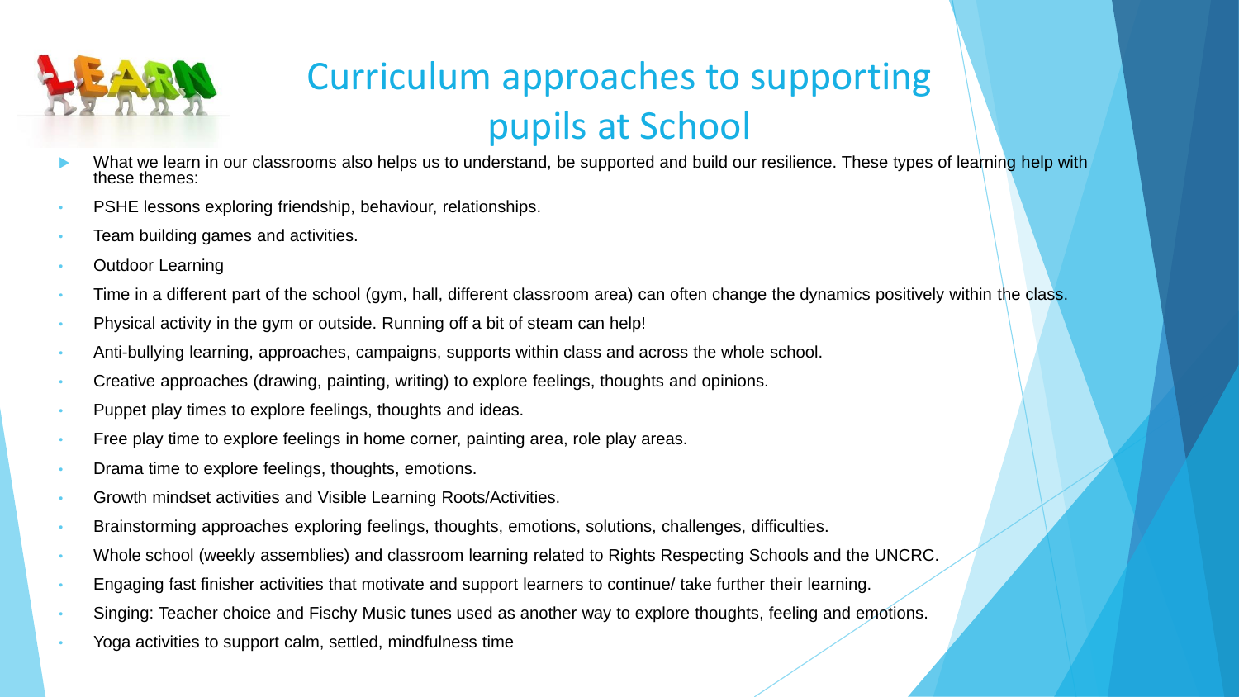

### Curriculum approaches to supporting pupils at School

- What we learn in our classrooms also helps us to understand, be supported and build our resilience. These types of learning help with these themes:
- PSHE lessons exploring friendship, behaviour, relationships.
- Team building games and activities.
- Outdoor Learning
- Time in a different part of the school (gym, hall, different classroom area) can often change the dynamics positively within the class.
- Physical activity in the gym or outside. Running off a bit of steam can help!
- Anti-bullying learning, approaches, campaigns, supports within class and across the whole school.
- Creative approaches (drawing, painting, writing) to explore feelings, thoughts and opinions.
- Puppet play times to explore feelings, thoughts and ideas.
- Free play time to explore feelings in home corner, painting area, role play areas.
- Drama time to explore feelings, thoughts, emotions.
- Growth mindset activities and Visible Learning Roots/Activities.
- Brainstorming approaches exploring feelings, thoughts, emotions, solutions, challenges, difficulties.
- Whole school (weekly assemblies) and classroom learning related to Rights Respecting Schools and the UNCRC.
- Engaging fast finisher activities that motivate and support learners to continue/ take further their learning.
- Singing: Teacher choice and Fischy Music tunes used as another way to explore thoughts, feeling and emotions.
- Yoga activities to support calm, settled, mindfulness time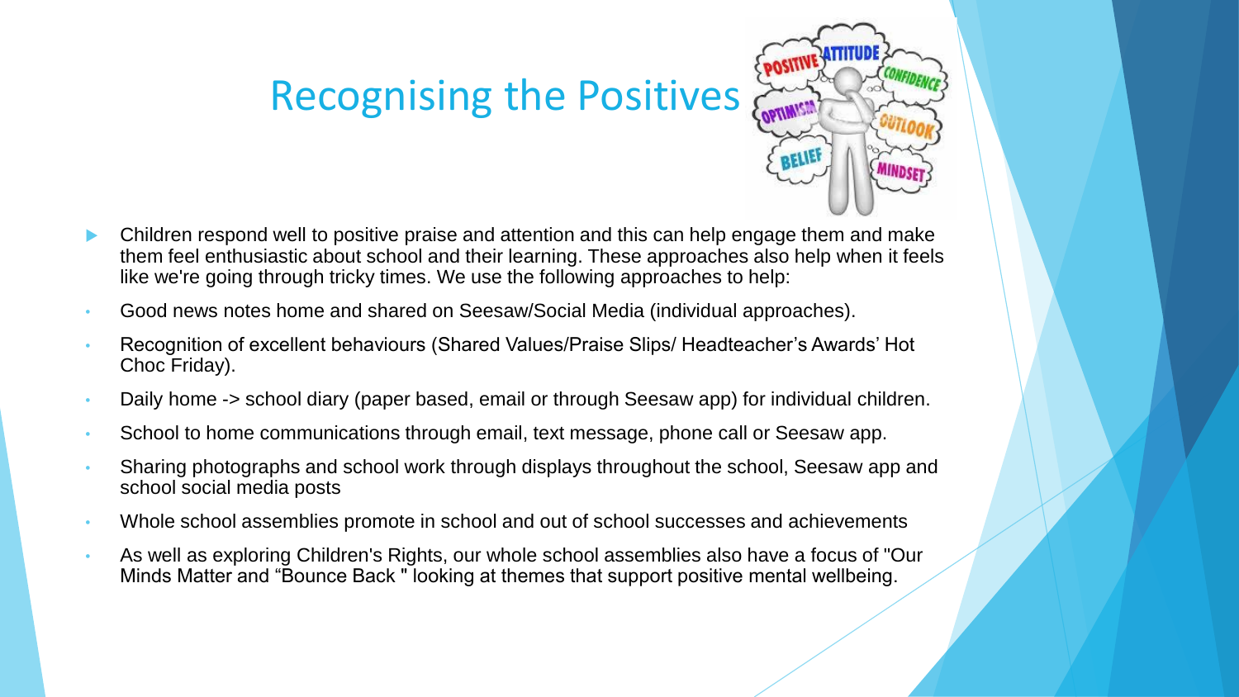### Recognising the Positives



- Children respond well to positive praise and attention and this can help engage them and make them feel enthusiastic about school and their learning. These approaches also help when it feels like we're going through tricky times. We use the following approaches to help:
- Good news notes home and shared on Seesaw/Social Media (individual approaches).
- Recognition of excellent behaviours (Shared Values/Praise Slips/ Headteacher's Awards' Hot Choc Friday).
- Daily home -> school diary (paper based, email or through Seesaw app) for individual children.
- School to home communications through email, text message, phone call or Seesaw app.
- Sharing photographs and school work through displays throughout the school, Seesaw app and school social media posts
- Whole school assemblies promote in school and out of school successes and achievements
- As well as exploring Children's Rights, our whole school assemblies also have a focus of "Our Minds Matter and "Bounce Back " looking at themes that support positive mental wellbeing.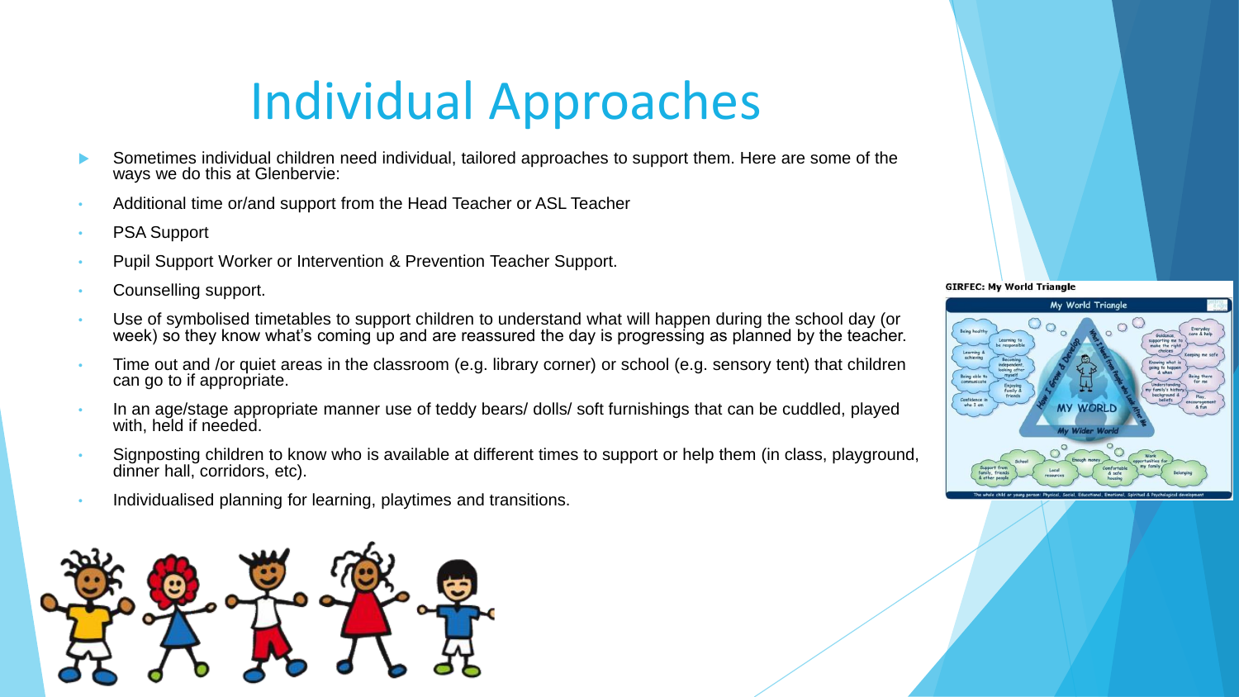## Individual Approaches

- Sometimes individual children need individual, tailored approaches to support them. Here are some of the ways we do this at Glenbervie:
- Additional time or/and support from the Head Teacher or ASL Teacher
- **PSA Support**
- Pupil Support Worker or Intervention & Prevention Teacher Support.
- Counselling support.
- Use of symbolised timetables to support children to understand what will happen during the school day (or week) so they know what's coming up and are reassured the day is progressing as planned by the teacher.
- Time out and /or quiet areas in the classroom (e.g. library corner) or school (e.g. sensory tent) that children can go to if appropriate.
- In an age/stage appropriate manner use of teddy bears/ dolls/ soft furnishings that can be cuddled, played with, held if needed.
- Signposting children to know who is available at different times to support or help them (in class, playground, dinner hall, corridors, etc).
- Individualised planning for learning, playtimes and transitions.